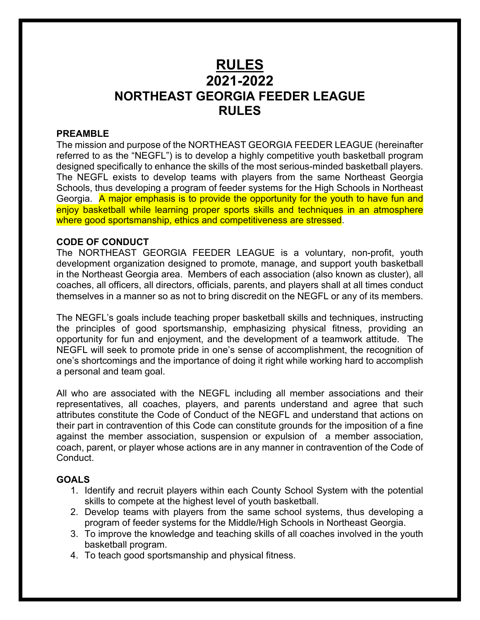# **RULES 2021-2022 NORTHEAST GEORGIA FEEDER LEAGUE RULES**

#### **PREAMBLE**

The mission and purpose of the NORTHEAST GEORGIA FEEDER LEAGUE (hereinafter referred to as the "NEGFL") is to develop a highly competitive youth basketball program designed specifically to enhance the skills of the most serious-minded basketball players. The NEGFL exists to develop teams with players from the same Northeast Georgia Schools, thus developing a program of feeder systems for the High Schools in Northeast Georgia. A major emphasis is to provide the opportunity for the youth to have fun and enjoy basketball while learning proper sports skills and techniques in an atmosphere where good sportsmanship, ethics and competitiveness are stressed.

#### **CODE OF CONDUCT**

The NORTHEAST GEORGIA FEEDER LEAGUE is a voluntary, non-profit, youth development organization designed to promote, manage, and support youth basketball in the Northeast Georgia area. Members of each association (also known as cluster), all coaches, all officers, all directors, officials, parents, and players shall at all times conduct themselves in a manner so as not to bring discredit on the NEGFL or any of its members.

The NEGFL's goals include teaching proper basketball skills and techniques, instructing the principles of good sportsmanship, emphasizing physical fitness, providing an opportunity for fun and enjoyment, and the development of a teamwork attitude. The NEGFL will seek to promote pride in one's sense of accomplishment, the recognition of one's shortcomings and the importance of doing it right while working hard to accomplish a personal and team goal.

All who are associated with the NEGFL including all member associations and their representatives, all coaches, players, and parents understand and agree that such attributes constitute the Code of Conduct of the NEGFL and understand that actions on their part in contravention of this Code can constitute grounds for the imposition of a fine against the member association, suspension or expulsion of a member association, coach, parent, or player whose actions are in any manner in contravention of the Code of Conduct.

# **GOALS**

- 1. Identify and recruit players within each County School System with the potential skills to compete at the highest level of youth basketball.
- 2. Develop teams with players from the same school systems, thus developing a program of feeder systems for the Middle/High Schools in Northeast Georgia.
- 3. To improve the knowledge and teaching skills of all coaches involved in the youth basketball program.
- 4. To teach good sportsmanship and physical fitness.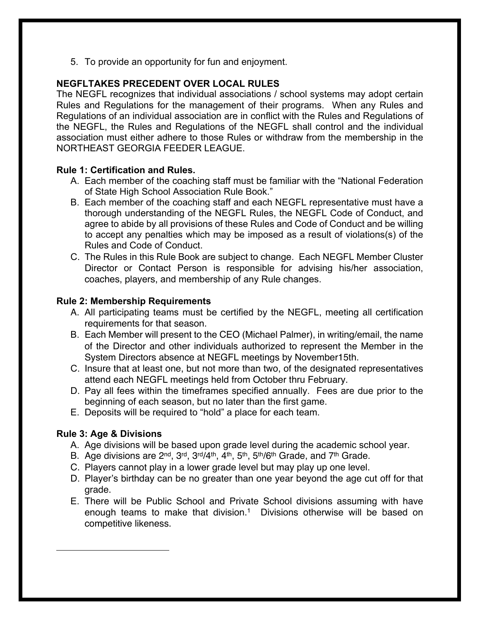5. To provide an opportunity for fun and enjoyment.

# **NEGFLTAKES PRECEDENT OVER LOCAL RULES**

The NEGFL recognizes that individual associations / school systems may adopt certain Rules and Regulations for the management of their programs. When any Rules and Regulations of an individual association are in conflict with the Rules and Regulations of the NEGFL, the Rules and Regulations of the NEGFL shall control and the individual association must either adhere to those Rules or withdraw from the membership in the NORTHEAST GEORGIA FEEDER LEAGUE.

# **Rule 1: Certification and Rules.**

- A. Each member of the coaching staff must be familiar with the "National Federation of State High School Association Rule Book."
- B. Each member of the coaching staff and each NEGFL representative must have a thorough understanding of the NEGFL Rules, the NEGFL Code of Conduct, and agree to abide by all provisions of these Rules and Code of Conduct and be willing to accept any penalties which may be imposed as a result of violations(s) of the Rules and Code of Conduct.
- C. The Rules in this Rule Book are subject to change. Each NEGFL Member Cluster Director or Contact Person is responsible for advising his/her association, coaches, players, and membership of any Rule changes.

# **Rule 2: Membership Requirements**

- A. All participating teams must be certified by the NEGFL, meeting all certification requirements for that season.
- B. Each Member will present to the CEO (Michael Palmer), in writing/email, the name of the Director and other individuals authorized to represent the Member in the System Directors absence at NEGFL meetings by November15th.
- C. Insure that at least one, but not more than two, of the designated representatives attend each NEGFL meetings held from October thru February.
- D. Pay all fees within the timeframes specified annually. Fees are due prior to the beginning of each season, but no later than the first game.
- E. Deposits will be required to "hold" a place for each team.

# **Rule 3: Age & Divisions**

- A. Age divisions will be based upon grade level during the academic school year.
- B. Age divisions are 2<sup>nd</sup>, 3<sup>rd</sup>, 3<sup>rd</sup>/4<sup>th</sup>, 4<sup>th</sup>, 5<sup>th</sup>, 5<sup>th</sup>/6<sup>th</sup> Grade, and 7<sup>th</sup> Grade.
- C. Players cannot play in a lower grade level but may play up one level.
- D. Player's birthday can be no greater than one year beyond the age cut off for that grade.
- E. There will be Public School and Private School divisions assuming with have enough teams to make that division. 1 Divisions otherwise will be based on competitive likeness.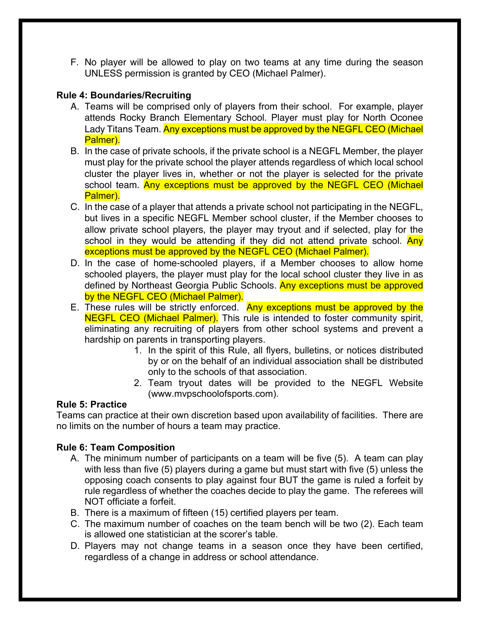F. No player will be allowed to play on two teams at any time during the season UNLESS permission is granted by CEO (Michael Palmer).

# **Rule 4: Boundaries/Recruiting**

- A. Teams will be comprised only of players from their school. For example, player attends Rocky Branch Elementary School. Player must play for North Oconee Lady Titans Team. Any exceptions must be approved by the NEGFL CEO (Michael Palmer).
- B. In the case of private schools, if the private school is a NEGFL Member, the player must play for the private school the player attends regardless of which local school cluster the player lives in, whether or not the player is selected for the private school team. Any exceptions must be approved by the NEGFL CEO (Michael Palmer).
- C. In the case of a player that attends a private school not participating in the NEGFL, but lives in a specific NEGFL Member school cluster, if the Member chooses to allow private school players, the player may tryout and if selected, play for the school in they would be attending if they did not attend private school. Any exceptions must be approved by the NEGFL CEO (Michael Palmer).
- D. In the case of home-schooled players, if a Member chooses to allow home schooled players, the player must play for the local school cluster they live in as defined by Northeast Georgia Public Schools. Any exceptions must be approved by the NEGFL CEO (Michael Palmer).
- E. These rules will be strictly enforced. Any exceptions must be approved by the **NEGFL CEO (Michael Palmer).** This rule is intended to foster community spirit, eliminating any recruiting of players from other school systems and prevent a hardship on parents in transporting players.
	- 1. In the spirit of this Rule, all flyers, bulletins, or notices distributed by or on the behalf of an individual association shall be distributed only to the schools of that association.
	- 2. Team tryout dates will be provided to the NEGFL Website (www.mvpschoolofsports.com).

# **Rule 5: Practice**

Teams can practice at their own discretion based upon availability of facilities. There are no limits on the number of hours a team may practice.

# **Rule 6: Team Composition**

- A. The minimum number of participants on a team will be five (5). A team can play with less than five (5) players during a game but must start with five (5) unless the opposing coach consents to play against four BUT the game is ruled a forfeit by rule regardless of whether the coaches decide to play the game. The referees will NOT officiate a forfeit.
- B. There is a maximum of fifteen (15) certified players per team.
- C. The maximum number of coaches on the team bench will be two (2). Each team is allowed one statistician at the scorer's table.
- D. Players may not change teams in a season once they have been certified, regardless of a change in address or school attendance.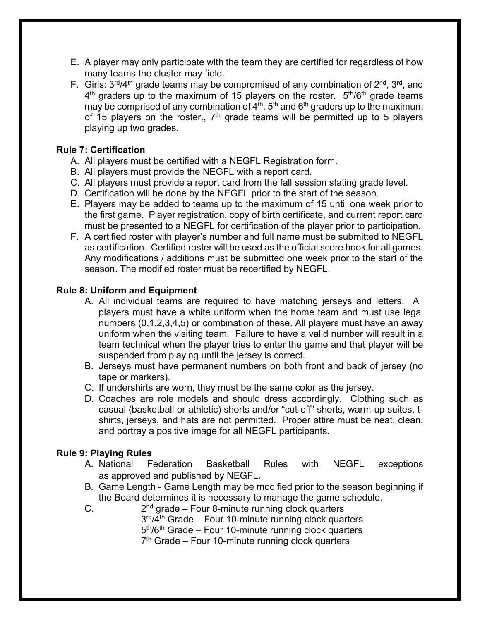- E. A player may only participate with the team they are certified for regardless of how many teams the cluster may field.
- F. Girls:  $3^{rd}/4^{th}$  grade teams may be compromised of any combination of  $2^{nd}$ ,  $3^{rd}$ , and  $4<sup>th</sup>$  graders up to the maximum of 15 players on the roster.  $5<sup>th</sup>/6<sup>th</sup>$  grade teams may be comprised of any combination of  $4<sup>th</sup>$ , 5<sup>th</sup> and 6<sup>th</sup> graders up to the maximum of 15 players on the roster.,  $7<sup>th</sup>$  grade teams will be permitted up to 5 players playing up two grades.

# **Rule 7: Certification**

- A. All players must be certified with a NEGFL Registration form.
- B. All players must provide the NEGFL with a report card.
- C. All players must provide a report card from the fall session stating grade level.
- D. Certification will be done by the NEGFL prior to the start of the season.
- E. Players may be added to teams up to the maximum of 15 until one week prior to the first game. Player registration, copy of birth certificate, and current report card must be presented to a NEGFL for certification of the player prior to participation.
- F. A certified roster with player's number and full name must be submitted to NEGFL as certification. Certified roster will be used as the official score book for all games. Any modifications / additions must be submitted one week prior to the start of the season. The modified roster must be recertified by NEGFL.

# **Rule 8: Uniform and Equipment**

- A. All individual teams are required to have matching jerseys and letters. All players must have a white uniform when the home team and must use legal numbers (0,1,2,3,4,5) or combination of these. All players must have an away uniform when the visiting team. Failure to have a valid number will result in a team technical when the player tries to enter the game and that player will be suspended from playing until the jersey is correct.
- B. Jerseys must have permanent numbers on both front and back of jersey (no tape or markers).
- C. If undershirts are worn, they must be the same color as the jersey.
- D. Coaches are role models and should dress accordingly. Clothing such as casual (basketball or athletic) shorts and/or "cut-off" shorts, warm-up suites, tshirts, jerseys, and hats are not permitted. Proper attire must be neat, clean, and portray a positive image for all NEGFL participants.

# **Rule 9: Playing Rules**

- A. National Federation Basketball Rules with NEGFL exceptions as approved and published by NEGFL.
- B. Game Length Game Length may be modified prior to the season beginning if the Board determines it is necessary to manage the game schedule.
- C.  $2<sup>nd</sup>$  grade Four 8-minute running clock quarters  $3<sup>rd</sup>/4<sup>th</sup>$  Grade – Four 10-minute running clock quarters  $5<sup>th</sup>/6<sup>th</sup>$  Grade – Four 10-minute running clock quarters  $7<sup>th</sup>$  Grade – Four 10-minute running clock quarters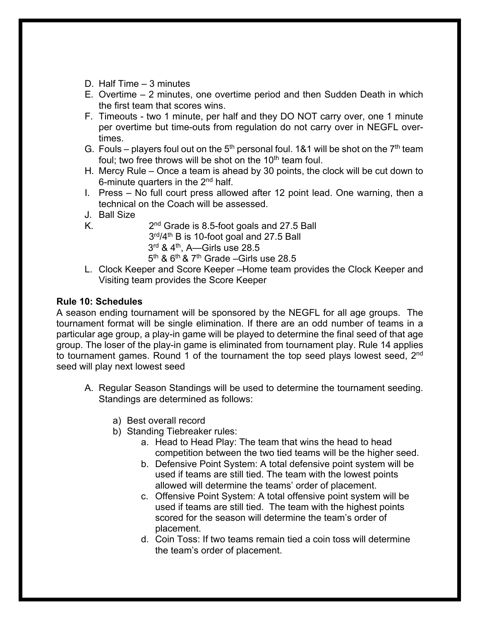- D. Half Time 3 minutes
- E. Overtime 2 minutes, one overtime period and then Sudden Death in which the first team that scores wins.
- F. Timeouts two 1 minute, per half and they DO NOT carry over, one 1 minute per overtime but time-outs from regulation do not carry over in NEGFL overtimes.
- G. Fouls players foul out on the  $5<sup>th</sup>$  personal foul. 1&1 will be shot on the  $7<sup>th</sup>$  team foul; two free throws will be shot on the  $10<sup>th</sup>$  team foul.
- H. Mercy Rule Once a team is ahead by 30 points, the clock will be cut down to 6-minute quarters in the 2<sup>nd</sup> half.
- I. Press No full court press allowed after 12 point lead. One warning, then a technical on the Coach will be assessed.
- J. Ball Size
- K.  $2<sup>nd</sup>$  Grade is 8.5-foot goals and 27.5 Ball 3rd/4<sup>th</sup> B is 10-foot goal and 27.5 Ball  $3<sup>rd</sup>$  & 4<sup>th</sup>, A—Girls use 28.5  $5<sup>th</sup>$  &  $6<sup>th</sup>$  &  $7<sup>th</sup>$  Grade –Girls use 28.5
- L. Clock Keeper and Score Keeper –Home team provides the Clock Keeper and Visiting team provides the Score Keeper

# **Rule 10: Schedules**

A season ending tournament will be sponsored by the NEGFL for all age groups. The tournament format will be single elimination. If there are an odd number of teams in a particular age group, a play-in game will be played to determine the final seed of that age group. The loser of the play-in game is eliminated from tournament play. Rule 14 applies to tournament games. Round 1 of the tournament the top seed plays lowest seed, 2<sup>nd</sup> seed will play next lowest seed

- A. Regular Season Standings will be used to determine the tournament seeding. Standings are determined as follows:
	- a) Best overall record
	- b) Standing Tiebreaker rules:
		- a. Head to Head Play: The team that wins the head to head competition between the two tied teams will be the higher seed.
		- b. Defensive Point System: A total defensive point system will be used if teams are still tied. The team with the lowest points allowed will determine the teams' order of placement.
		- c. Offensive Point System: A total offensive point system will be used if teams are still tied. The team with the highest points scored for the season will determine the team's order of placement.
		- d. Coin Toss: If two teams remain tied a coin toss will determine the team's order of placement.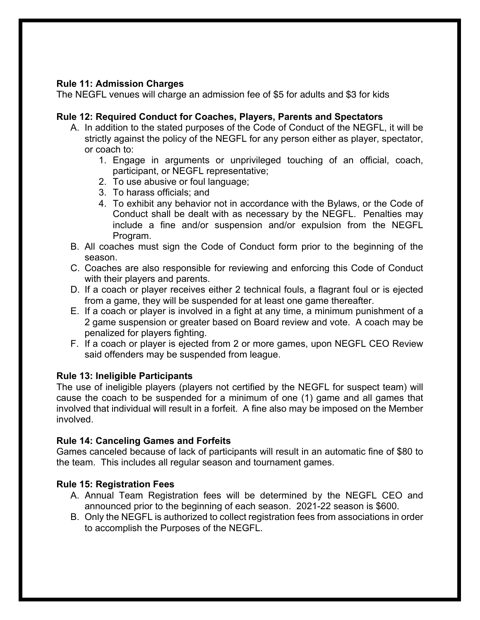# **Rule 11: Admission Charges**

The NEGFL venues will charge an admission fee of \$5 for adults and \$3 for kids

#### **Rule 12: Required Conduct for Coaches, Players, Parents and Spectators**

- A. In addition to the stated purposes of the Code of Conduct of the NEGFL, it will be strictly against the policy of the NEGFL for any person either as player, spectator, or coach to:
	- 1. Engage in arguments or unprivileged touching of an official, coach, participant, or NEGFL representative;
	- 2. To use abusive or foul language;
	- 3. To harass officials; and
	- 4. To exhibit any behavior not in accordance with the Bylaws, or the Code of Conduct shall be dealt with as necessary by the NEGFL. Penalties may include a fine and/or suspension and/or expulsion from the NEGFL Program.
- B. All coaches must sign the Code of Conduct form prior to the beginning of the season.
- C. Coaches are also responsible for reviewing and enforcing this Code of Conduct with their players and parents.
- D. If a coach or player receives either 2 technical fouls, a flagrant foul or is ejected from a game, they will be suspended for at least one game thereafter.
- E. If a coach or player is involved in a fight at any time, a minimum punishment of a 2 game suspension or greater based on Board review and vote. A coach may be penalized for players fighting.
- F. If a coach or player is ejected from 2 or more games, upon NEGFL CEO Review said offenders may be suspended from league.

# **Rule 13: Ineligible Participants**

The use of ineligible players (players not certified by the NEGFL for suspect team) will cause the coach to be suspended for a minimum of one (1) game and all games that involved that individual will result in a forfeit. A fine also may be imposed on the Member involved.

# **Rule 14: Canceling Games and Forfeits**

Games canceled because of lack of participants will result in an automatic fine of \$80 to the team. This includes all regular season and tournament games.

# **Rule 15: Registration Fees**

- A. Annual Team Registration fees will be determined by the NEGFL CEO and announced prior to the beginning of each season. 2021-22 season is \$600.
- B. Only the NEGFL is authorized to collect registration fees from associations in order to accomplish the Purposes of the NEGFL.